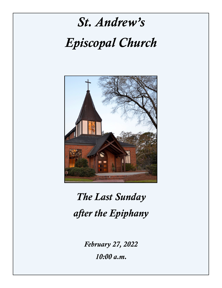

## *The Last Sunday after the Epiphany*

*February 27, 2022 10:00 a.m.*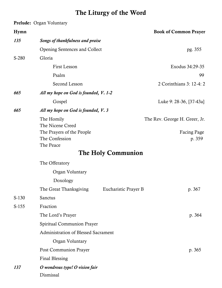### The Liturgy of the Word

### Prelude: Organ Voluntary

| Hymn    |                                             |                      | <b>Book of Common Prayer</b>  |  |
|---------|---------------------------------------------|----------------------|-------------------------------|--|
| 135     | Songs of thankfulness and praise            |                      |                               |  |
|         | <b>Opening Sentences and Collect</b>        |                      | pg. 355                       |  |
| S-280   | Gloria                                      |                      |                               |  |
|         | <b>First Lesson</b>                         |                      | Exodus 34:29-35               |  |
|         | Psalm                                       |                      | 99                            |  |
|         | Second Lesson                               |                      | 2 Corinthians 3: 12-4: 2      |  |
| 665     | All my hope on God is founded, V. 1-2       |                      |                               |  |
|         | Gospel                                      |                      | Luke 9: 28-36, [37-43a]       |  |
| 665     | All my hope on God is founded, V. 3         |                      |                               |  |
|         | The Homily                                  |                      | The Rev. George H. Greer, Jr. |  |
|         | The Nicene Creed                            |                      |                               |  |
|         | The Prayers of the People<br>The Confession |                      | Facing Page<br>p. 359         |  |
|         | The Peace                                   |                      |                               |  |
|         |                                             | The Holy Communion   |                               |  |
|         | The Offeratory                              |                      |                               |  |
|         | Organ Voluntary                             |                      |                               |  |
|         | Doxology                                    |                      |                               |  |
|         | The Great Thanksgiving                      | Eucharistic Prayer B | p. 367                        |  |
| $S-130$ | Sanctus                                     |                      |                               |  |
| $S-155$ | Fraction                                    |                      |                               |  |
|         | The Lord's Prayer                           |                      | p. 364                        |  |
|         | Spiritual Communion Prayer                  |                      |                               |  |
|         | Administration of Blessed Sacrament         |                      |                               |  |
|         | Organ Voluntary                             |                      |                               |  |
|         | Post Communion Prayer                       |                      | p. 365                        |  |
|         | <b>Final Blessing</b>                       |                      |                               |  |
| 137     | O wondrous type! O vision fair              |                      |                               |  |
|         | Dismissal                                   |                      |                               |  |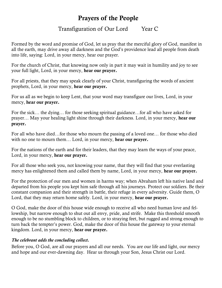### Prayers of the People

### Transfiguration of Our Lord Year C

Formed by the word and promise of God, let us pray that the merciful glory of God, manifest in all the earth, may drive away all darkness and the God's providence lead all people from death into life, saying: Lord, in your mercy, hear our prayer.

For the church of Christ, that knowing now only in part it may wait in humility and joy to see your full light, Lord, in your mercy, hear our prayer.

For all priests, that they may speak clearly of your Christ, transfiguring the words of ancient prophets, Lord, in your mercy, hear our prayer.

For us all as we begin to keep Lent, that your word may transfigure our lives, Lord, in your mercy, hear our prayer.

For the sick… the dying… for those seeking spiritual guidance…for all who have asked for prayer… May your healing light shine through their darkness. Lord, in your mercy, hear our prayer.

For all who have died…for those who mourn the passing of a loved one… for those who died with no one to mourn them... Lord, in your mercy, hear our prayer.

For the nations of the earth and for their leaders, that they may learn the ways of your peace, Lord, in your mercy, hear our prayer.

For all those who seek you, not knowing your name, that they will find that your everlasting mercy has enlightened them and called them by name, Lord, in your mercy, hear our prayer.

For the protection of our men and women in harms way; when Abraham left his native land and departed from his people you kept him safe through all his journeys. Protect our soldiers. Be their constant companion and their strength in battle, their refuge in every adversity. Guide them, O Lord, that they may return home safely. Lord, in your mercy, hear our prayer.

O God, make the door of this house wide enough to receive all who need human love and fellowship, but narrow enough to shut out all envy, pride, and strife. Make this threshold smooth enough to be no stumbling block to children, or to straying feet, but rugged and strong enough to turn back the tempter's power. God, make the door of this house the gateway to your eternal kingdom. Lord, in your mercy, hear our prayer.

### *The celebrant adds the concluding collect.*

Before you, O God, are all our prayers and all our needs. You are our life and light, our mercy and hope and our ever-dawning day. Hear us through your Son, Jesus Christ our Lord.